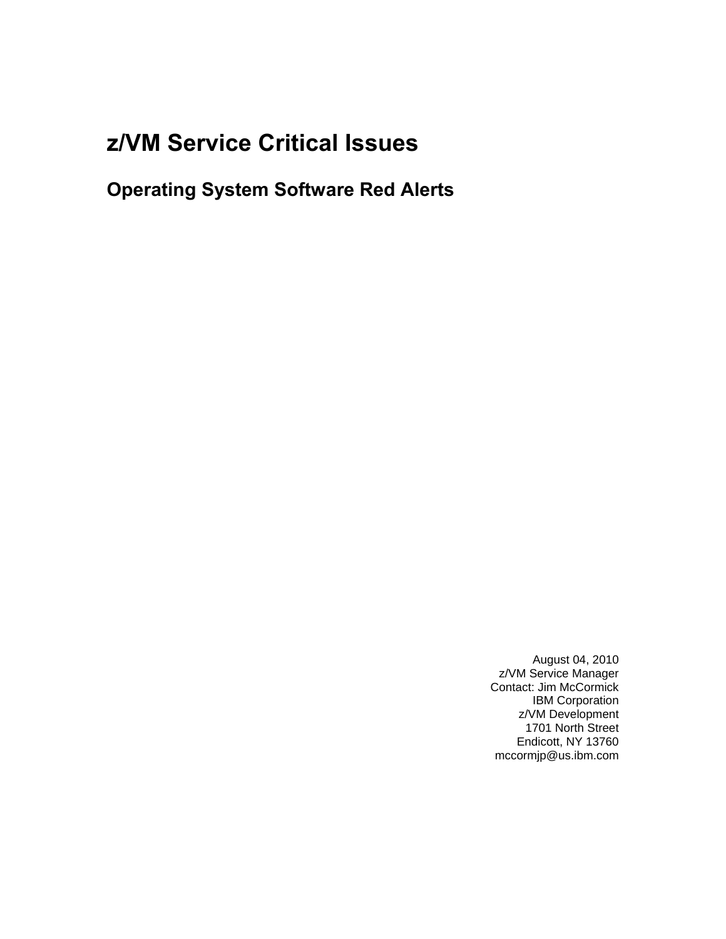# **z/VM Service Critical Issues**

**Operating System Software Red Alerts**

August 04, 2010 z/VM Service Manager Contact: Jim McCormick IBM Corporation z/VM Development 1701 North Street Endicott, NY 13760 mccormjp@us.ibm.com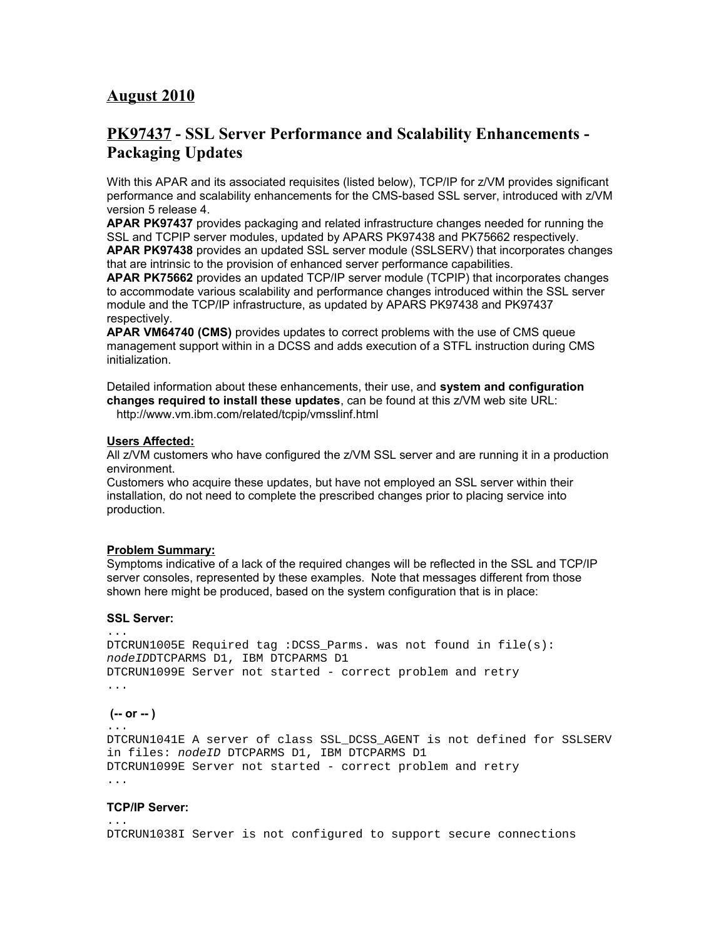## **August 2010**

## **PK97437 - SSL Server Performance and Scalability Enhancements - Packaging Updates**

With this APAR and its associated requisites (listed below), TCP/IP for z/VM provides significant performance and scalability enhancements for the CMS-based SSL server, introduced with z/VM version 5 release 4.

**APAR PK97437** provides packaging and related infrastructure changes needed for running the SSL and TCPIP server modules, updated by APARS PK97438 and PK75662 respectively. **APAR PK97438** provides an updated SSL server module (SSLSERV) that incorporates changes that are intrinsic to the provision of enhanced server performance capabilities.

**APAR PK75662** provides an updated TCP/IP server module (TCPIP) that incorporates changes to accommodate various scalability and performance changes introduced within the SSL server module and the TCP/IP infrastructure, as updated by APARS PK97438 and PK97437 respectively.

**APAR VM64740 (CMS)** provides updates to correct problems with the use of CMS queue management support within in a DCSS and adds execution of a STFL instruction during CMS initialization.

Detailed information about these enhancements, their use, and **system and configuration changes required to install these updates**, can be found at this z/VM web site URL: http://www.vm.ibm.com/related/tcpip/vmsslinf.html

#### **Users Affected:**

All z/VM customers who have configured the z/VM SSL server and are running it in a production environment.

Customers who acquire these updates, but have not employed an SSL server within their installation, do not need to complete the prescribed changes prior to placing service into production.

#### **Problem Summary:**

Symptoms indicative of a lack of the required changes will be reflected in the SSL and TCP/IP server consoles, represented by these examples. Note that messages different from those shown here might be produced, based on the system configuration that is in place:

#### **SSL Server:**

```
...
DTCRUN1005E Required tag :DCSS_Parms. was not found in file(s):
nodeIDDTCPARMS D1, IBM DTCPARMS D1
DTCRUN1099E Server not started - correct problem and retry
...
```

```
(-- or -- )
```

```
...
```
DTCRUN1041E A server of class SSL\_DCSS\_AGENT is not defined for SSLSERV in files: nodeID DTCPARMS D1, IBM DTCPARMS D1 DTCRUN1099E Server not started - correct problem and retry

...

#### **TCP/IP Server:**

```
...
DTCRUN1038I Server is not configured to support secure connections
```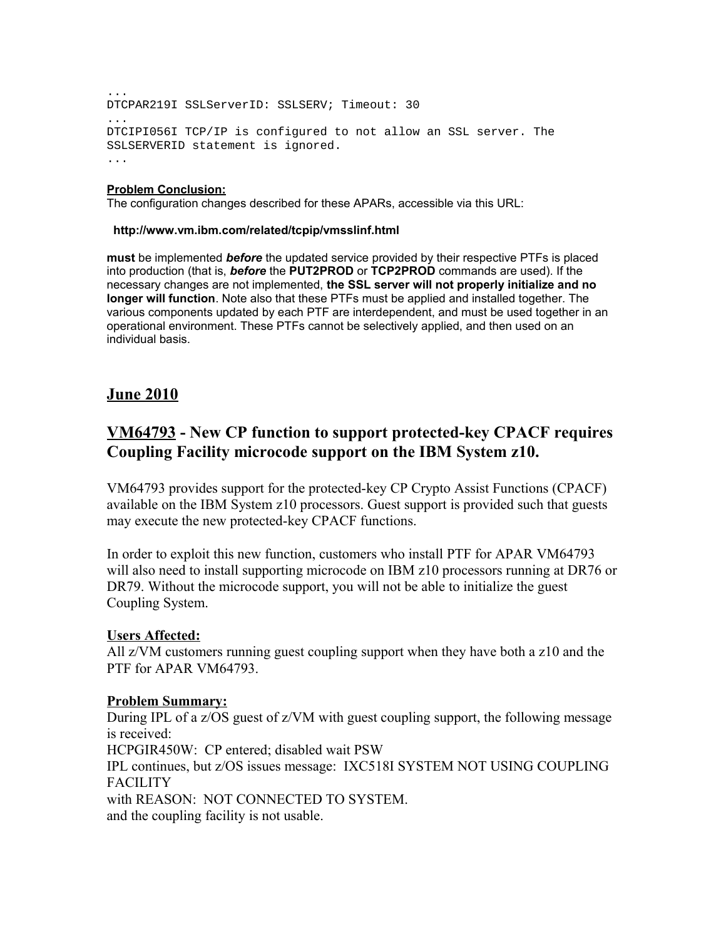```
...
DTCPAR219I SSLServerID: SSLSERV; Timeout: 30
...
DTCIPI056I TCP/IP is configured to not allow an SSL server. The
SSLSERVERID statement is ignored.
...
```
#### **Problem Conclusion:**

The configuration changes described for these APARs, accessible via this URL:

#### **http://www.vm.ibm.com/related/tcpip/vmsslinf.html**

**must** be implemented *before* the updated service provided by their respective PTFs is placed into production (that is, *before* the **PUT2PROD** or **TCP2PROD** commands are used). If the necessary changes are not implemented, **the SSL server will not properly initialize and no longer will function**. Note also that these PTFs must be applied and installed together. The various components updated by each PTF are interdependent, and must be used together in an operational environment. These PTFs cannot be selectively applied, and then used on an individual basis.

### **June 2010**

# **VM64793 - New CP function to support protected-key CPACF requires Coupling Facility microcode support on the IBM System z10.**

VM64793 provides support for the protected-key CP Crypto Assist Functions (CPACF) available on the IBM System z10 processors. Guest support is provided such that guests may execute the new protected-key CPACF functions.

In order to exploit this new function, customers who install PTF for APAR VM64793 will also need to install supporting microcode on IBM z10 processors running at DR76 or DR79. Without the microcode support, you will not be able to initialize the guest Coupling System.

#### **Users Affected:**

All z/VM customers running guest coupling support when they have both a z10 and the PTF for APAR VM64793

#### **Problem Summary:**

During IPL of a z/OS guest of z/VM with guest coupling support, the following message is received: HCPGIR450W: CP entered; disabled wait PSW IPL continues, but z/OS issues message: IXC518I SYSTEM NOT USING COUPLING FACILITY with REASON: NOT CONNECTED TO SYSTEM. and the coupling facility is not usable.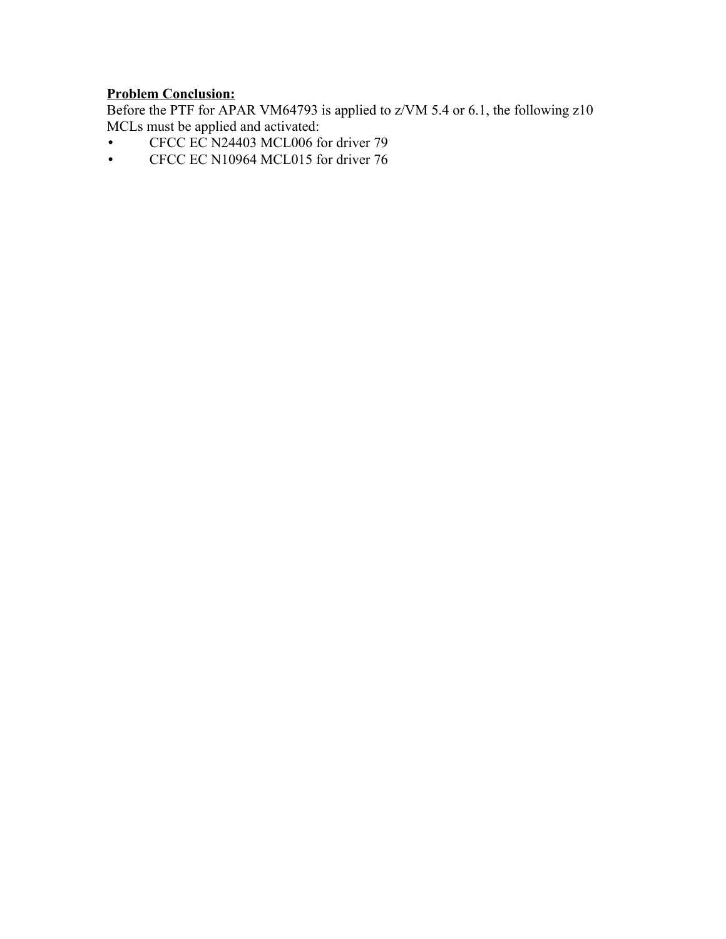## **Problem Conclusion:**

Before the PTF for APAR VM64793 is applied to z/VM 5.4 or 6.1, the following z10 MCLs must be applied and activated:

- CFCC EC N24403 MCL006 for driver 79
- CFCC EC N10964 MCL015 for driver 76